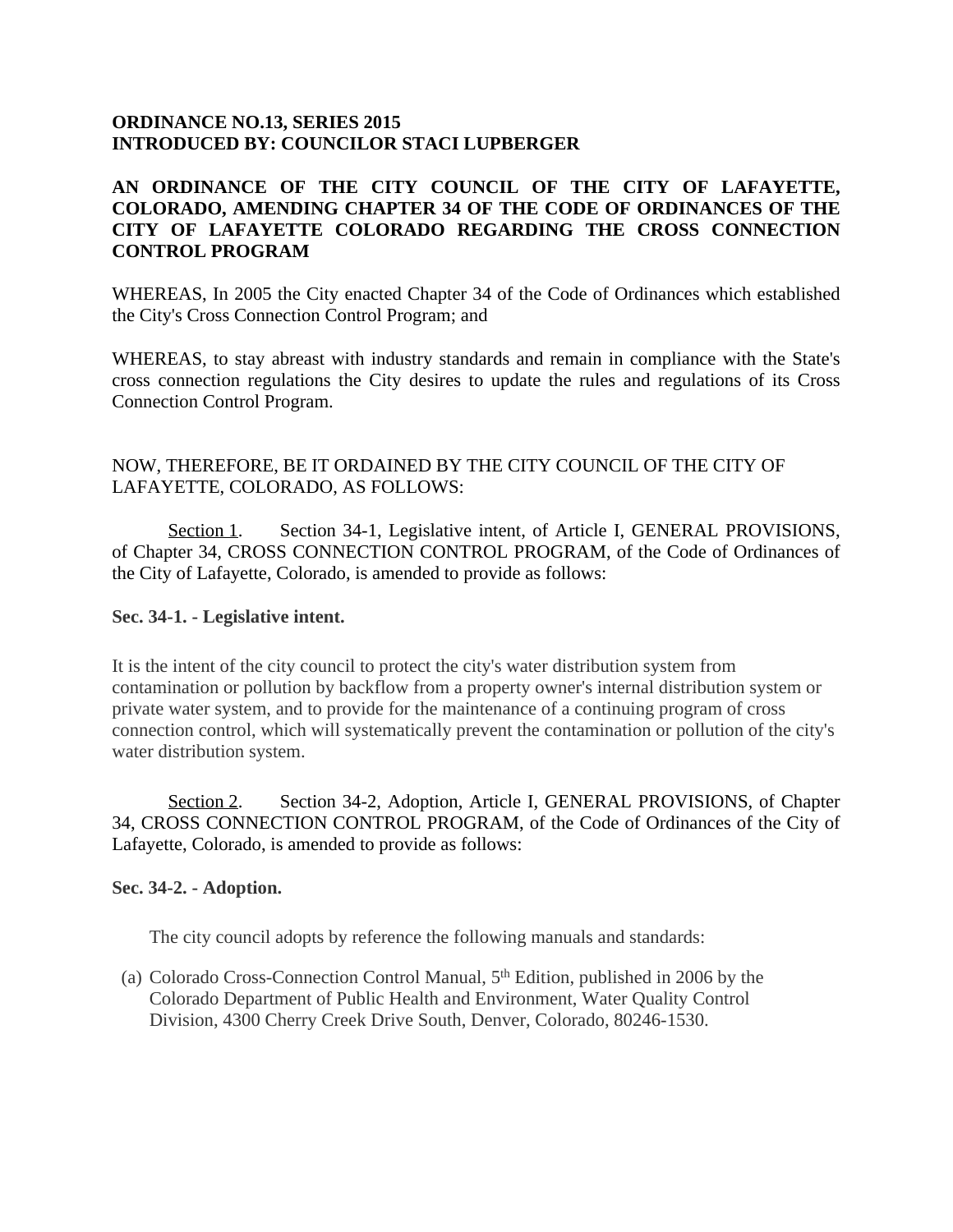## **ORDINANCE NO.13, SERIES 2015 INTRODUCED BY: COUNCILOR STACI LUPBERGER**

# **AN ORDINANCE OF THE CITY COUNCIL OF THE CITY OF LAFAYETTE, COLORADO, AMENDING CHAPTER 34 OF THE CODE OF ORDINANCES OF THE CITY OF LAFAYETTE COLORADO REGARDING THE CROSS CONNECTION CONTROL PROGRAM**

WHEREAS, In 2005 the City enacted Chapter 34 of the Code of Ordinances which established the City's Cross Connection Control Program; and

WHEREAS, to stay abreast with industry standards and remain in compliance with the State's cross connection regulations the City desires to update the rules and regulations of its Cross Connection Control Program.

## NOW, THEREFORE, BE IT ORDAINED BY THE CITY COUNCIL OF THE CITY OF LAFAYETTE, COLORADO, AS FOLLOWS:

Section 1. Section 34-1, Legislative intent, of Article I, GENERAL PROVISIONS, of Chapter 34, CROSS CONNECTION CONTROL PROGRAM, of the Code of Ordinances of the City of Lafayette, Colorado, is amended to provide as follows:

### **Sec. 34-1. - Legislative intent.**

It is the intent of the city council to protect the city's water distribution system from contamination or pollution by backflow from a property owner's internal distribution system or private water system, and to provide for the maintenance of a continuing program of cross connection control, which will systematically prevent the contamination or pollution of the city's water distribution system.

Section 2. Section 34-2, Adoption, Article I, GENERAL PROVISIONS, of Chapter 34, CROSS CONNECTION CONTROL PROGRAM, of the Code of Ordinances of the City of Lafayette, Colorado, is amended to provide as follows:

#### **Sec. 34-2. - Adoption.**

The city council adopts by reference the following manuals and standards:

(a) Colorado Cross-Connection Control Manual, 5 th Edition, published in 2006 by the Colorado Department of Public Health and Environment, Water Quality Control Division, 4300 Cherry Creek Drive South, Denver, Colorado, 80246-1530.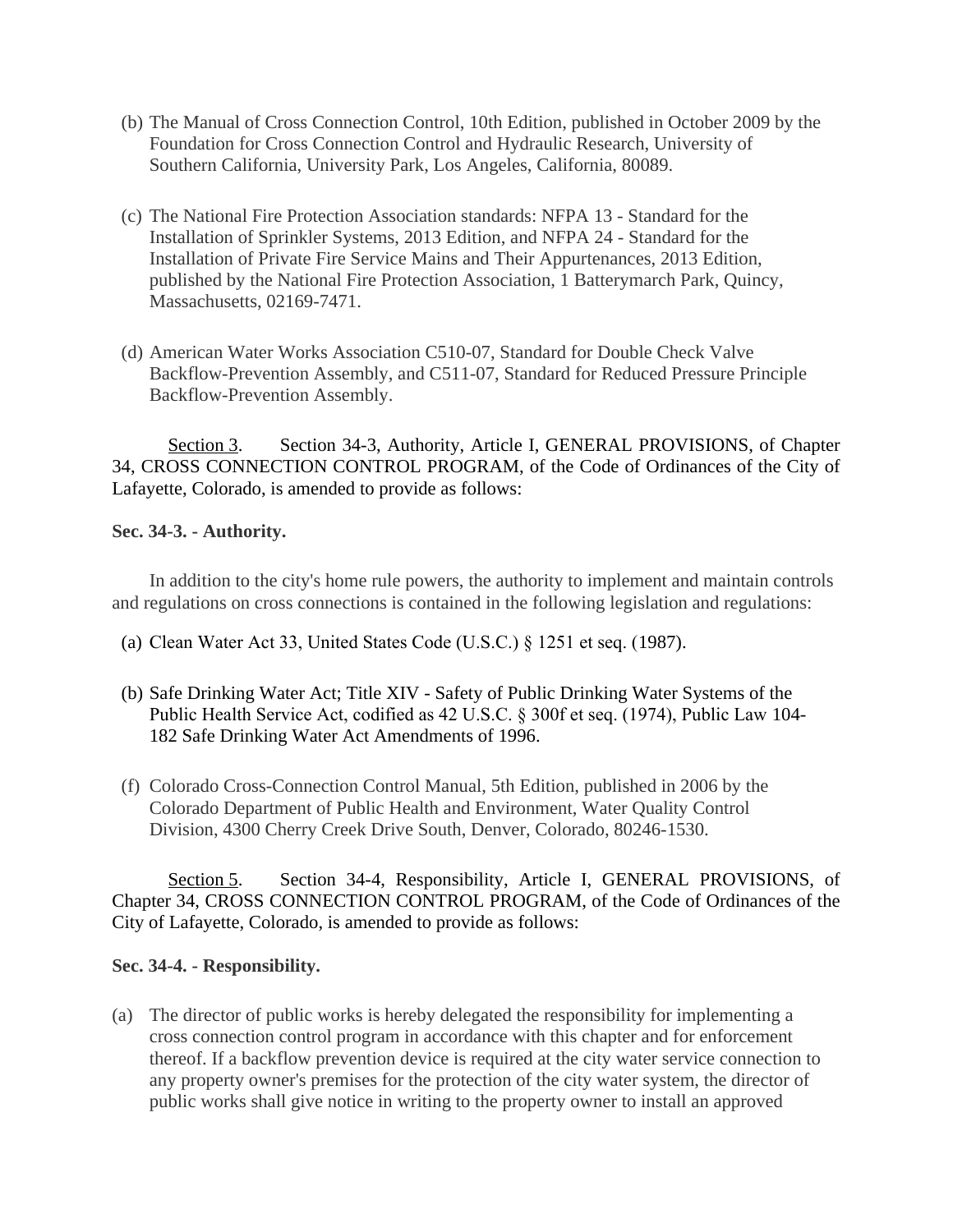- (b) The Manual of Cross Connection Control, 10th Edition, published in October 2009 by the Foundation for Cross Connection Control and Hydraulic Research, University of Southern California, University Park, Los Angeles, California, 80089.
- (c) The National Fire Protection Association standards: NFPA 13 Standard for the Installation of Sprinkler Systems, 2013 Edition, and NFPA 24 - Standard for the Installation of Private Fire Service Mains and Their Appurtenances, 2013 Edition, published by the National Fire Protection Association, 1 Batterymarch Park, Quincy, Massachusetts, 02169-7471.
- (d) American Water Works Association C510-07, Standard for Double Check Valve Backflow-Prevention Assembly, and C511-07, Standard for Reduced Pressure Principle Backflow-Prevention Assembly.

Section 3. Section 34-3, Authority, Article I, GENERAL PROVISIONS, of Chapter 34, CROSS CONNECTION CONTROL PROGRAM, of the Code of Ordinances of the City of Lafayette, Colorado, is amended to provide as follows:

## **Sec. 34-3. - Authority.**

In addition to the city's home rule powers, the authority to implement and maintain controls and regulations on cross connections is contained in the following legislation and regulations:

- (a) Clean Water Act 33, United States Code (U.S.C.) § 1251 et seq. (1987).
- (b) Safe Drinking Water Act; Title XIV Safety of Public Drinking Water Systems of the Public Health Service Act, codified as 42 U.S.C. § 300f et seq. (1974), Public Law 104- 182 Safe Drinking Water Act Amendments of 1996.
- (f) Colorado Cross-Connection Control Manual, 5th Edition, published in 2006 by the Colorado Department of Public Health and Environment, Water Quality Control Division, 4300 Cherry Creek Drive South, Denver, Colorado, 80246-1530.

Section 5. Section 34-4, Responsibility, Article I, GENERAL PROVISIONS, of Chapter 34, CROSS CONNECTION CONTROL PROGRAM, of the Code of Ordinances of the City of Lafayette, Colorado, is amended to provide as follows:

## **Sec. 34-4. - Responsibility.**

(a) The director of public works is hereby delegated the responsibility for implementing a cross connection control program in accordance with this chapter and for enforcement thereof. If a backflow prevention device is required at the city water service connection to any property owner's premises for the protection of the city water system, the director of public works shall give notice in writing to the property owner to install an approved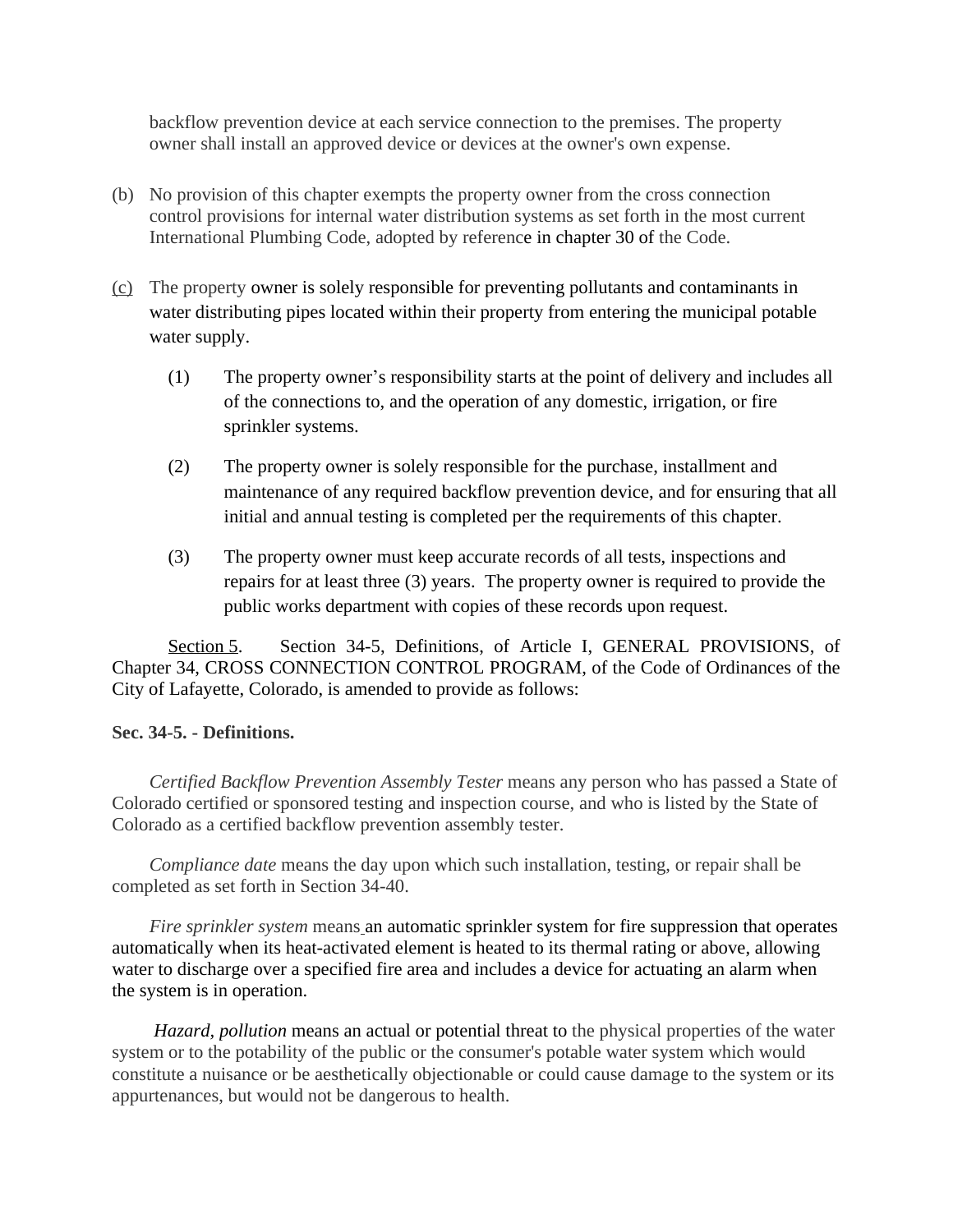backflow prevention device at each service connection to the premises. The property owner shall install an approved device or devices at the owner's own expense.

- (b) No provision of this chapter exempts the property owner from the cross connection control provisions for internal water distribution systems as set forth in the most current International Plumbing Code, adopted by reference in chapter 30 of the Code.
- (c) The property owner is solely responsible for preventing pollutants and contaminants in water distributing pipes located within their property from entering the municipal potable water supply.
	- (1) The property owner's responsibility starts at the point of delivery and includes all of the connections to, and the operation of any domestic, irrigation, or fire sprinkler systems.
	- (2) The property owner is solely responsible for the purchase, installment and maintenance of any required backflow prevention device, and for ensuring that all initial and annual testing is completed per the requirements of this chapter.
	- (3) The property owner must keep accurate records of all tests, inspections and repairs for at least three (3) years. The property owner is required to provide the public works department with copies of these records upon request.

Section 5. Section 34-5, Definitions, of Article I, GENERAL PROVISIONS, of Chapter 34, CROSS CONNECTION CONTROL PROGRAM, of the Code of Ordinances of the City of Lafayette, Colorado, is amended to provide as follows:

#### **Sec. 34-5. - Definitions.**

*Certified Backflow Prevention Assembly Tester* means any person who has passed a State of Colorado certified or sponsored testing and inspection course, and who is listed by the State of Colorado as a certified backflow prevention assembly tester.

*Compliance date* means the day upon which such installation, testing, or repair shall be completed as set forth in Section 34-40.

*Fire sprinkler system* means an automatic sprinkler system for fire suppression that operates automatically when its heat-activated element is heated to its thermal rating or above, allowing water to discharge over a specified fire area and includes a device for actuating an alarm when the system is in operation.

 *Hazard, pollution* means an actual or potential threat to the physical properties of the water system or to the potability of the public or the consumer's potable water system which would constitute a nuisance or be aesthetically objectionable or could cause damage to the system or its appurtenances, but would not be dangerous to health.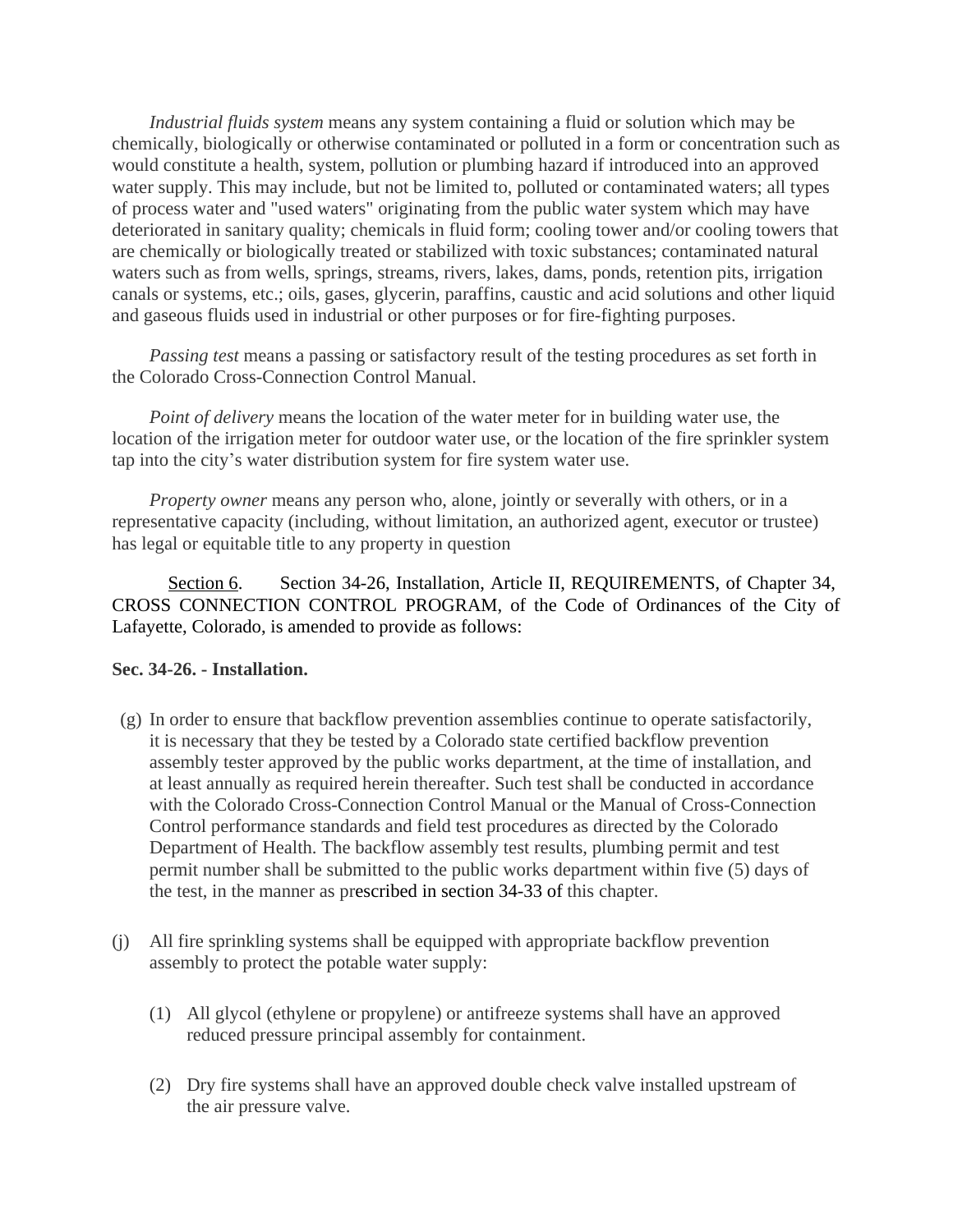*Industrial fluids system* means any system containing a fluid or solution which may be chemically, biologically or otherwise contaminated or polluted in a form or concentration such as would constitute a health, system, pollution or plumbing hazard if introduced into an approved water supply. This may include, but not be limited to, polluted or contaminated waters; all types of process water and "used waters" originating from the public water system which may have deteriorated in sanitary quality; chemicals in fluid form; cooling tower and/or cooling towers that are chemically or biologically treated or stabilized with toxic substances; contaminated natural waters such as from wells, springs, streams, rivers, lakes, dams, ponds, retention pits, irrigation canals or systems, etc.; oils, gases, glycerin, paraffins, caustic and acid solutions and other liquid and gaseous fluids used in industrial or other purposes or for fire-fighting purposes.

*Passing test* means a passing or satisfactory result of the testing procedures as set forth in the Colorado Cross-Connection Control Manual.

*Point of delivery* means the location of the water meter for in building water use, the location of the irrigation meter for outdoor water use, or the location of the fire sprinkler system tap into the city's water distribution system for fire system water use.

*Property owner* means any person who, alone, jointly or severally with others, or in a representative capacity (including, without limitation, an authorized agent, executor or trustee) has legal or equitable title to any property in question

Section 6. Section 34-26, Installation, Article II, REQUIREMENTS, of Chapter 34, CROSS CONNECTION CONTROL PROGRAM, of the Code of Ordinances of the City of Lafayette, Colorado, is amended to provide as follows:

#### **Sec. 34-26. - Installation.**

- (g) In order to ensure that backflow prevention assemblies continue to operate satisfactorily, it is necessary that they be tested by a Colorado state certified backflow prevention assembly tester approved by the public works department, at the time of installation, and at least annually as required herein thereafter. Such test shall be conducted in accordance with the Colorado Cross-Connection Control Manual or the Manual of Cross-Connection Control performance standards and field test procedures as directed by the Colorado Department of Health. The backflow assembly test results, plumbing permit and test permit number shall be submitted to the public works department within five (5) days of the test, in the manner as prescribed in section 34-33 of this chapter.
- (j) All fire sprinkling systems shall be equipped with appropriate backflow prevention assembly to protect the potable water supply:
	- (1) All glycol (ethylene or propylene) or antifreeze systems shall have an approved reduced pressure principal assembly for containment.
	- (2) Dry fire systems shall have an approved double check valve installed upstream of the air pressure valve.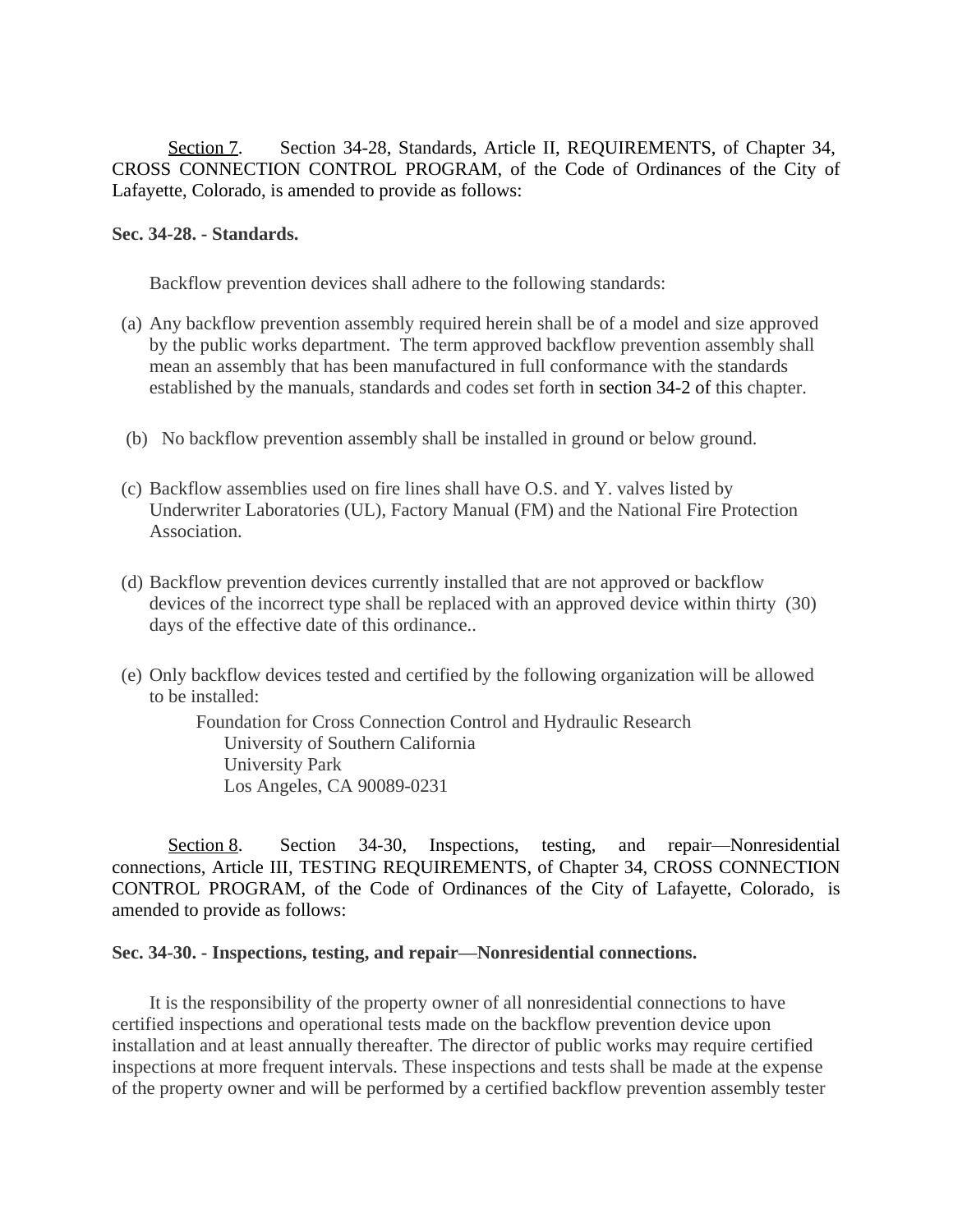Section 7. Section 34-28, Standards, Article II, REQUIREMENTS, of Chapter 34, CROSS CONNECTION CONTROL PROGRAM, of the Code of Ordinances of the City of Lafayette, Colorado, is amended to provide as follows:

#### **Sec. 34-28. - Standards.**

Backflow prevention devices shall adhere to the following standards:

- (a) Any backflow prevention assembly required herein shall be of a model and size approved by the public works department. The term approved backflow prevention assembly shall mean an assembly that has been manufactured in full conformance with the standards established by the manuals, standards and codes set forth in section 34-2 of this chapter.
- (b) No backflow prevention assembly shall be installed in ground or below ground.
- (c) Backflow assemblies used on fire lines shall have O.S. and Y. valves listed by Underwriter Laboratories (UL), Factory Manual (FM) and the National Fire Protection Association.
- (d) Backflow prevention devices currently installed that are not approved or backflow devices of the incorrect type shall be replaced with an approved device within thirty (30) days of the effective date of this ordinance..
- (e) Only backflow devices tested and certified by the following organization will be allowed to be installed:

Foundation for Cross Connection Control and Hydraulic Research University of Southern California University Park Los Angeles, CA 90089-0231

Section 8. Section 34-30, Inspections, testing, and repair—Nonresidential connections, Article III, TESTING REQUIREMENTS, of Chapter 34, CROSS CONNECTION CONTROL PROGRAM, of the Code of Ordinances of the City of Lafayette, Colorado, is amended to provide as follows:

#### **Sec. 34-30. - Inspections, testing, and repair—Nonresidential connections.**

It is the responsibility of the property owner of all nonresidential connections to have certified inspections and operational tests made on the backflow prevention device upon installation and at least annually thereafter. The director of public works may require certified inspections at more frequent intervals. These inspections and tests shall be made at the expense of the property owner and will be performed by a certified backflow prevention assembly tester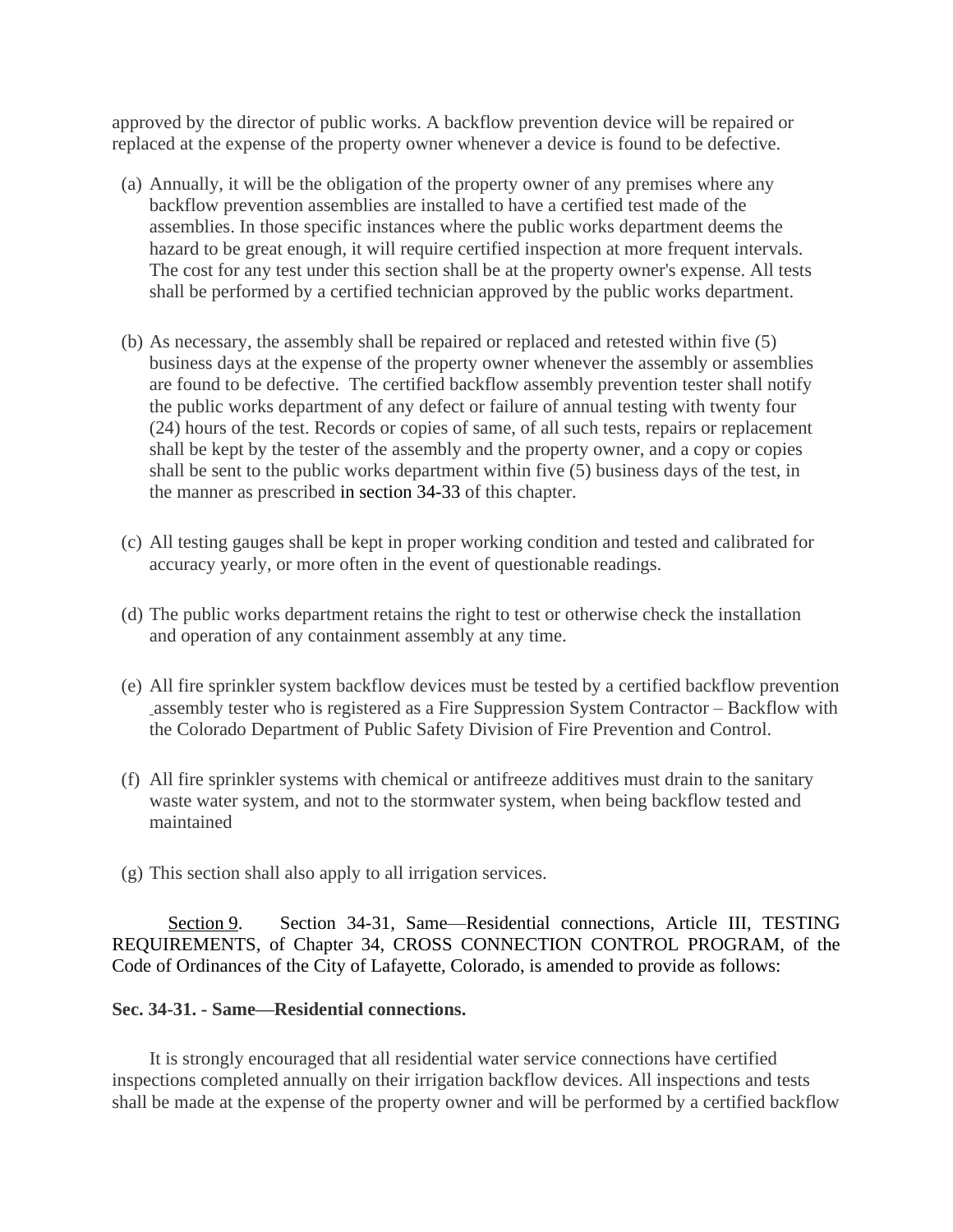approved by the director of public works. A backflow prevention device will be repaired or replaced at the expense of the property owner whenever a device is found to be defective.

- (a) Annually, it will be the obligation of the property owner of any premises where any backflow prevention assemblies are installed to have a certified test made of the assemblies. In those specific instances where the public works department deems the hazard to be great enough, it will require certified inspection at more frequent intervals. The cost for any test under this section shall be at the property owner's expense. All tests shall be performed by a certified technician approved by the public works department.
- (b) As necessary, the assembly shall be repaired or replaced and retested within five (5) business days at the expense of the property owner whenever the assembly or assemblies are found to be defective. The certified backflow assembly prevention tester shall notify the public works department of any defect or failure of annual testing with twenty four (24) hours of the test. Records or copies of same, of all such tests, repairs or replacement shall be kept by the tester of the assembly and the property owner, and a copy or copies shall be sent to the public works department within five (5) business days of the test, in the manner as prescribed in section 34-33 of this chapter.
- (c) All testing gauges shall be kept in proper working condition and tested and calibrated for accuracy yearly, or more often in the event of questionable readings.
- (d) The public works department retains the right to test or otherwise check the installation and operation of any containment assembly at any time.
- (e) All fire sprinkler system backflow devices must be tested by a certified backflow prevention assembly tester who is registered as a Fire Suppression System Contractor – Backflow with the Colorado Department of Public Safety Division of Fire Prevention and Control.
- (f) All fire sprinkler systems with chemical or antifreeze additives must drain to the sanitary waste water system, and not to the stormwater system, when being backflow tested and maintained
- (g) This section shall also apply to all irrigation services.

Section 9. Section 34-31, Same—Residential connections, Article III, TESTING REQUIREMENTS, of Chapter 34, CROSS CONNECTION CONTROL PROGRAM, of the Code of Ordinances of the City of Lafayette, Colorado, is amended to provide as follows:

#### **Sec. 34-31. - Same—Residential connections.**

It is strongly encouraged that all residential water service connections have certified inspections completed annually on their irrigation backflow devices. All inspections and tests shall be made at the expense of the property owner and will be performed by a certified backflow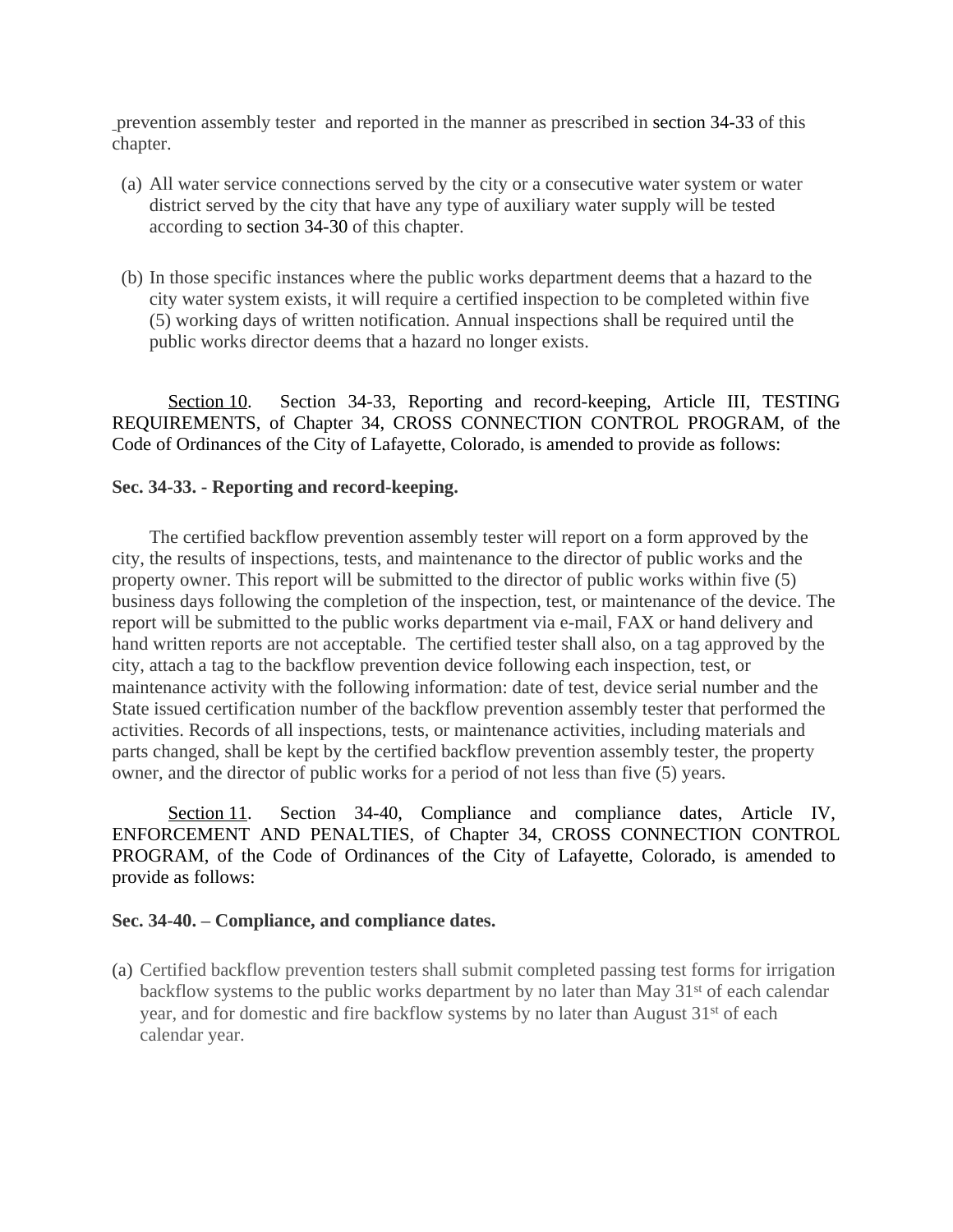prevention assembly tester and reported in the manner as prescribed in section 34-33 of this chapter.

- (a) All water service connections served by the city or a consecutive water system or water district served by the city that have any type of auxiliary water supply will be tested according to section 34-30 of this chapter.
- (b) In those specific instances where the public works department deems that a hazard to the city water system exists, it will require a certified inspection to be completed within five (5) working days of written notification. Annual inspections shall be required until the public works director deems that a hazard no longer exists.

Section 10. Section 34-33, Reporting and record-keeping, Article III, TESTING REQUIREMENTS, of Chapter 34, CROSS CONNECTION CONTROL PROGRAM, of the Code of Ordinances of the City of Lafayette, Colorado, is amended to provide as follows:

## **Sec. 34-33. - Reporting and record-keeping.**

The certified backflow prevention assembly tester will report on a form approved by the city, the results of inspections, tests, and maintenance to the director of public works and the property owner. This report will be submitted to the director of public works within five (5) business days following the completion of the inspection, test, or maintenance of the device. The report will be submitted to the public works department via e-mail, FAX or hand delivery and hand written reports are not acceptable. The certified tester shall also, on a tag approved by the city, attach a tag to the backflow prevention device following each inspection, test, or maintenance activity with the following information: date of test, device serial number and the State issued certification number of the backflow prevention assembly tester that performed the activities. Records of all inspections, tests, or maintenance activities, including materials and parts changed, shall be kept by the certified backflow prevention assembly tester, the property owner, and the director of public works for a period of not less than five (5) years.

Section 11. Section 34-40, Compliance and compliance dates, Article IV, ENFORCEMENT AND PENALTIES, of Chapter 34, CROSS CONNECTION CONTROL PROGRAM, of the Code of Ordinances of the City of Lafayette, Colorado, is amended to provide as follows:

#### **Sec. 34-40. – Compliance, and compliance dates.**

(a) Certified backflow prevention testers shall submit completed passing test forms for irrigation backflow systems to the public works department by no later than May 31<sup>st</sup> of each calendar year, and for domestic and fire backflow systems by no later than August 31<sup>st</sup> of each calendar year.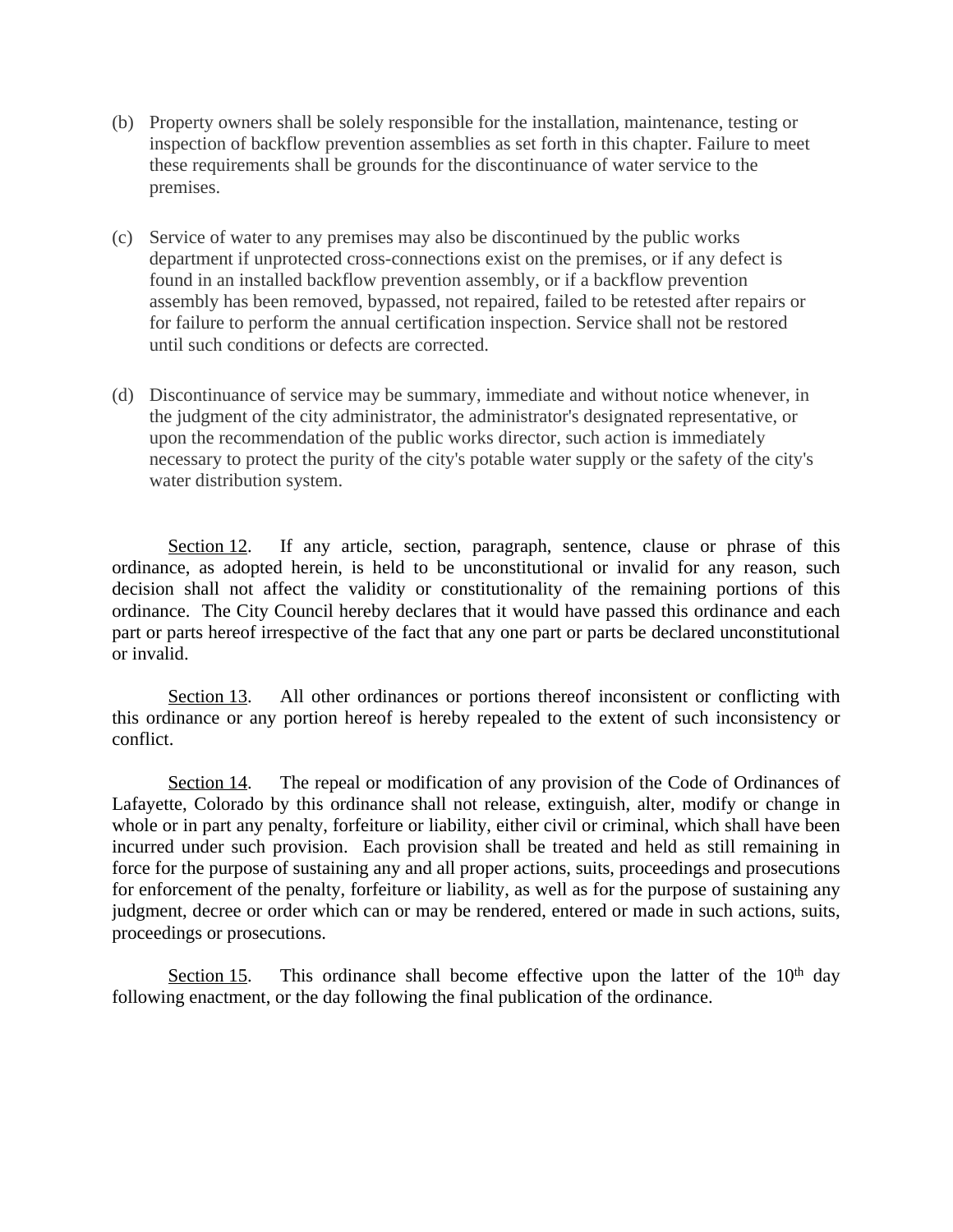- (b) Property owners shall be solely responsible for the installation, maintenance, testing or inspection of backflow prevention assemblies as set forth in this chapter. Failure to meet these requirements shall be grounds for the discontinuance of water service to the premises.
- (c) Service of water to any premises may also be discontinued by the public works department if unprotected cross-connections exist on the premises, or if any defect is found in an installed backflow prevention assembly, or if a backflow prevention assembly has been removed, bypassed, not repaired, failed to be retested after repairs or for failure to perform the annual certification inspection. Service shall not be restored until such conditions or defects are corrected.
- (d) Discontinuance of service may be summary, immediate and without notice whenever, in the judgment of the city administrator, the administrator's designated representative, or upon the recommendation of the public works director, such action is immediately necessary to protect the purity of the city's potable water supply or the safety of the city's water distribution system.

Section 12. If any article, section, paragraph, sentence, clause or phrase of this ordinance, as adopted herein, is held to be unconstitutional or invalid for any reason, such decision shall not affect the validity or constitutionality of the remaining portions of this ordinance. The City Council hereby declares that it would have passed this ordinance and each part or parts hereof irrespective of the fact that any one part or parts be declared unconstitutional or invalid.

Section 13. All other ordinances or portions thereof inconsistent or conflicting with this ordinance or any portion hereof is hereby repealed to the extent of such inconsistency or conflict.

Section 14. The repeal or modification of any provision of the Code of Ordinances of Lafayette, Colorado by this ordinance shall not release, extinguish, alter, modify or change in whole or in part any penalty, forfeiture or liability, either civil or criminal, which shall have been incurred under such provision. Each provision shall be treated and held as still remaining in force for the purpose of sustaining any and all proper actions, suits, proceedings and prosecutions for enforcement of the penalty, forfeiture or liability, as well as for the purpose of sustaining any judgment, decree or order which can or may be rendered, entered or made in such actions, suits, proceedings or prosecutions.

Section 15. This ordinance shall become effective upon the latter of the  $10<sup>th</sup>$  day following enactment, or the day following the final publication of the ordinance.